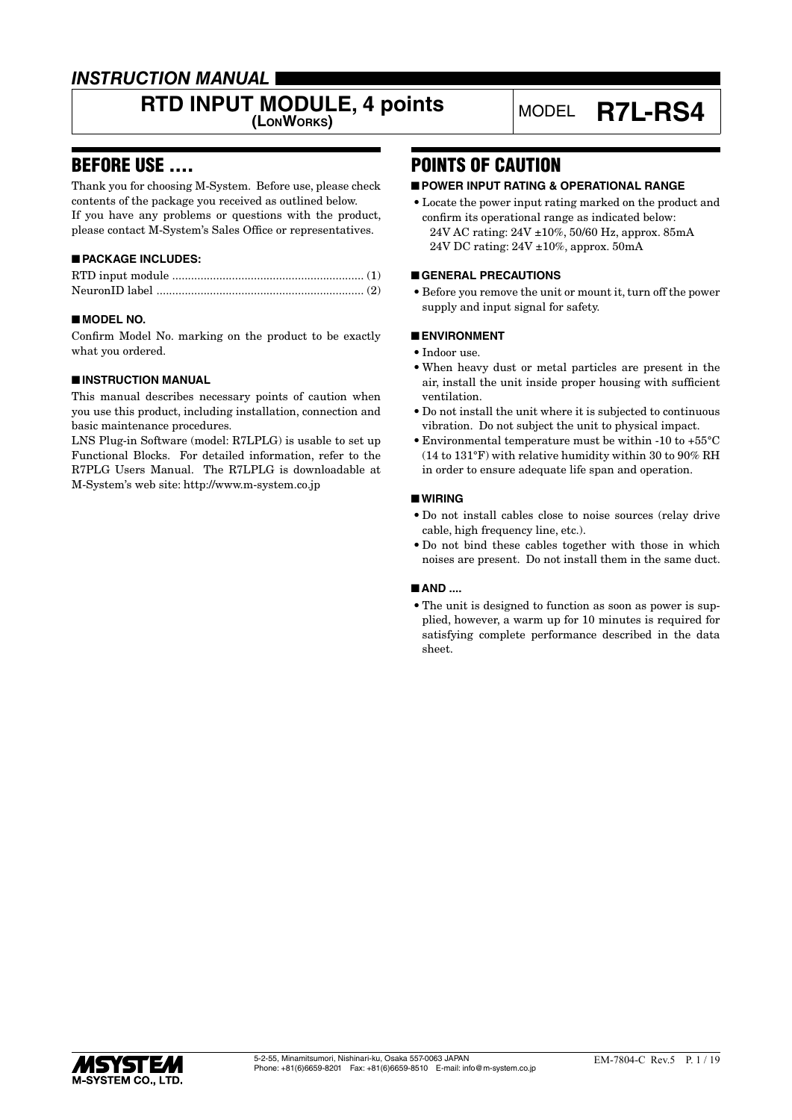## *INSTRUCTION MANUAL*

# **RTD INPUT MODULE, 4 points** MODEL **R7L-RS4**

## BEFORE USE ....

Thank you for choosing M-System. Before use, please check contents of the package you received as outlined below. If you have any problems or questions with the product, please contact M-System's Sales Office or representatives.

## ■ **PACKAGE INCLUDES:**

## ■ **MODEL NO.**

Confirm Model No. marking on the product to be exactly what you ordered.

## ■ **INSTRUCTION MANUAL**

This manual describes necessary points of caution when you use this product, including installation, connection and basic maintenance procedures.

LNS Plug-in Software (model: R7LPLG) is usable to set up Functional Blocks. For detailed information, refer to the R7PLG Users Manual. The R7LPLG is downloadable at M-System's web site: http://www.m-system.co.jp

## POINTS OF CAUTION

## ■ **POWER INPUT RATING & OPERATIONAL RANGE**

• Locate the power input rating marked on the product and confirm its operational range as indicated below: 24V AC rating: 24V ±10%, 50/60 Hz, approx. 85mA 24V DC rating: 24V ±10%, approx. 50mA

## ■ **GENERAL PRECAUTIONS**

• Before you remove the unit or mount it, turn off the power supply and input signal for safety.

## ■ **ENVIRONMENT**

- Indoor use.
- When heavy dust or metal particles are present in the air, install the unit inside proper housing with sufficient ventilation.
- Do not install the unit where it is subjected to continuous vibration. Do not subject the unit to physical impact.
- Environmental temperature must be within -10 to +55°C (14 to 131°F) with relative humidity within 30 to 90% RH in order to ensure adequate life span and operation.

## ■ **WIRING**

- Do not install cables close to noise sources (relay drive cable, high frequency line, etc.).
- Do not bind these cables together with those in which noises are present. Do not install them in the same duct.

## ■ **AND** ....

• The unit is designed to function as soon as power is supplied, however, a warm up for 10 minutes is required for satisfying complete performance described in the data sheet.

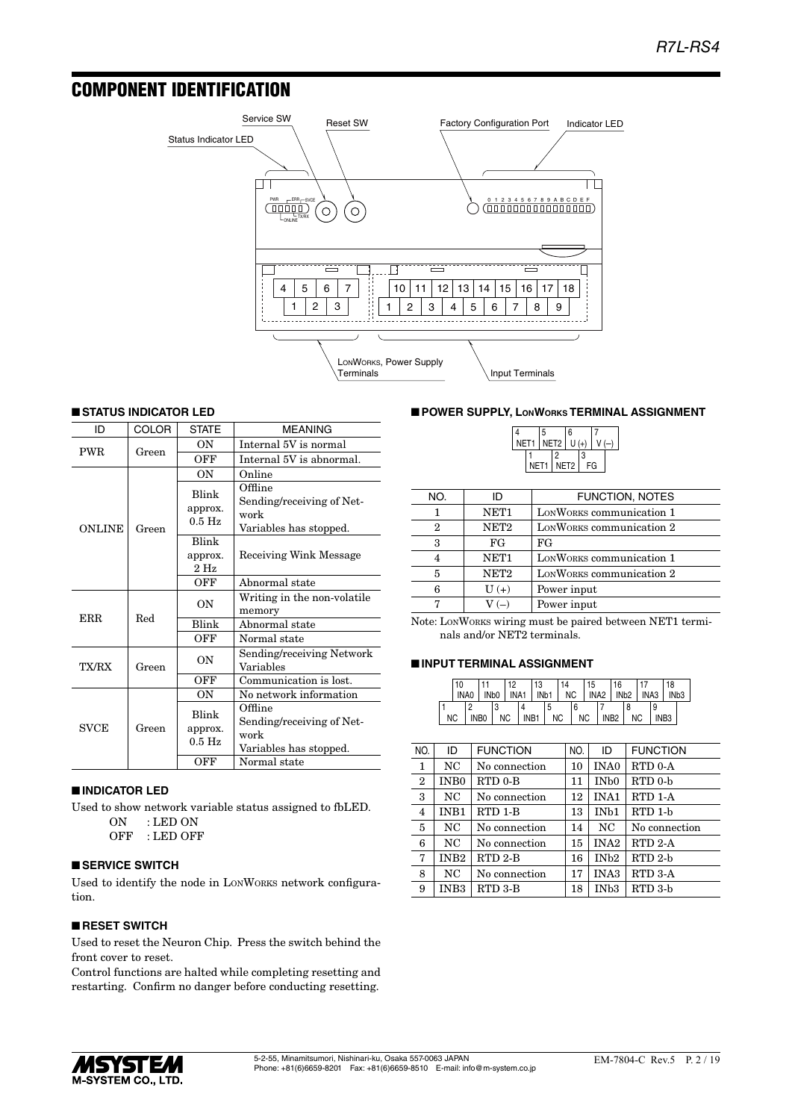## COMPONENT IDENTIFICATION



## ■ **STATUS INDICATOR LED**

| ID            | COLOR | <b>STATE</b>                           | <b>MEANING</b>                                                         |
|---------------|-------|----------------------------------------|------------------------------------------------------------------------|
| <b>PWR</b>    | Green | OΝ                                     | Internal 5V is normal                                                  |
|               |       | OFF                                    | Internal 5V is abnormal.                                               |
|               |       | ON                                     | Online                                                                 |
| <b>ONLINE</b> | Green | Blink<br>approx.<br>$0.5$ Hz           | Offline<br>Sending/receiving of Net-<br>work<br>Variables has stopped. |
|               |       | Blink                                  |                                                                        |
|               |       | approx.<br>$2$ Hz                      | Receiving Wink Message                                                 |
|               |       | OFF                                    | Abnormal state                                                         |
|               |       | ON                                     | Writing in the non-volatile<br>memory                                  |
| ERR           | Red   | Blink                                  | Abnormal state                                                         |
|               |       | OFF                                    | Normal state                                                           |
| TX/RX         | Green | OΝ                                     | Sending/receiving Network<br>Variables                                 |
|               |       | OFF                                    | Communication is lost.                                                 |
|               |       | ON                                     | No network information                                                 |
| <b>SVCE</b>   | Green | Blink<br>approx.<br>$0.5\ \mathrm{Hz}$ | Offline<br>Sending/receiving of Net-<br>work<br>Variables has stopped. |
|               |       | OFF                                    | Normal state                                                           |

#### ■ **INDICATOR LED**

Used to show network variable status assigned to fbLED. ON : LED ON

OFF : LED OFF

## ■ **SERVICE SWITCH**

Used to identify the node in LONWORKS network configuration.

## ■ **RESET SWITCH**

Used to reset the Neuron Chip. Press the switch behind the front cover to reset.

Control functions are halted while completing resetting and restarting. Confirm no danger before conducting resetting.

## ■ **POWER SUPPLY, LONWORKS TERMINAL ASSIGNMENT**

|                     |      | 5 |   | $6\overline{6}$  |   |    |  |
|---------------------|------|---|---|------------------|---|----|--|
| NET1   NET2   U (+) |      |   |   |                  |   |    |  |
|                     |      |   | 2 |                  | 3 |    |  |
|                     | NET1 |   |   | NET <sub>2</sub> |   | FG |  |

| NO. | ID               | <b>FUNCTION, NOTES</b>   |  |
|-----|------------------|--------------------------|--|
|     | NET <sub>1</sub> | LONWORKS communication 1 |  |
| 2   | NET <sub>2</sub> | LONWORKS communication 2 |  |
| 3   | FG               | FG                       |  |
| 4   | NET <sub>1</sub> | LONWORKS communication 1 |  |
| 5   | NET <sub>2</sub> | LONWORKS communication 2 |  |
| 6   | $U(+)$           | Power input              |  |
|     | $V(-)$           | Power input              |  |

Note: LONWORKS wiring must be paired between NET1 terminals and/or NET2 terminals.

#### ■ **INPUT TERMINAL ASSIGNMENT**

|           | 10<br>. INAO I |        | 12  | 13 | 14 | 15 | 16<br>INDO I INA1 I IND1 I NC I INA2 I IND2 I INA3 I IND3 |  | 18               |  |
|-----------|----------------|--------|-----|----|----|----|-----------------------------------------------------------|--|------------------|--|
| <b>NC</b> |                | INBO I | NC. |    |    |    | INB1   NC   NC   INB2   NC                                |  | INB <sub>3</sub> |  |

| NO.            | ID               | <b>FUNCTION</b>     | NO. | ID                | <b>FUNCTION</b>     |
|----------------|------------------|---------------------|-----|-------------------|---------------------|
| 1              | NC               | No connection       | 10  | <b>INA0</b>       | RTD 0-A             |
| $\mathbf{2}$   | IN <sub>B0</sub> | RTD 0-B             | 11  | IN <sub>b</sub> 0 | RTD <sub>0</sub> -b |
| 3              | NC               | No connection       | 12  | INA1              | RTD 1-A             |
| $\overline{4}$ | INB1             | RTD 1-B             | 13  | IN <sub>b1</sub>  | RTD 1-b             |
| 5              | NC               | No connection       | 14  | NC                | No connection       |
| 6              | NC               | No connection       | 15  | INA <sub>2</sub>  | RTD <sub>2</sub> -A |
| 7              | INB <sub>2</sub> | RTD <sub>2</sub> -B | 16  | IN <sub>b2</sub>  | $RTD$ 2-b           |
| 8              | NC.              | No connection       | 17  | <b>INA3</b>       | RTD 3-A             |
| 9              | INB <sub>3</sub> | RTD 3-B             | 18  | IN <sub>b</sub> 3 | RTD 3-b             |

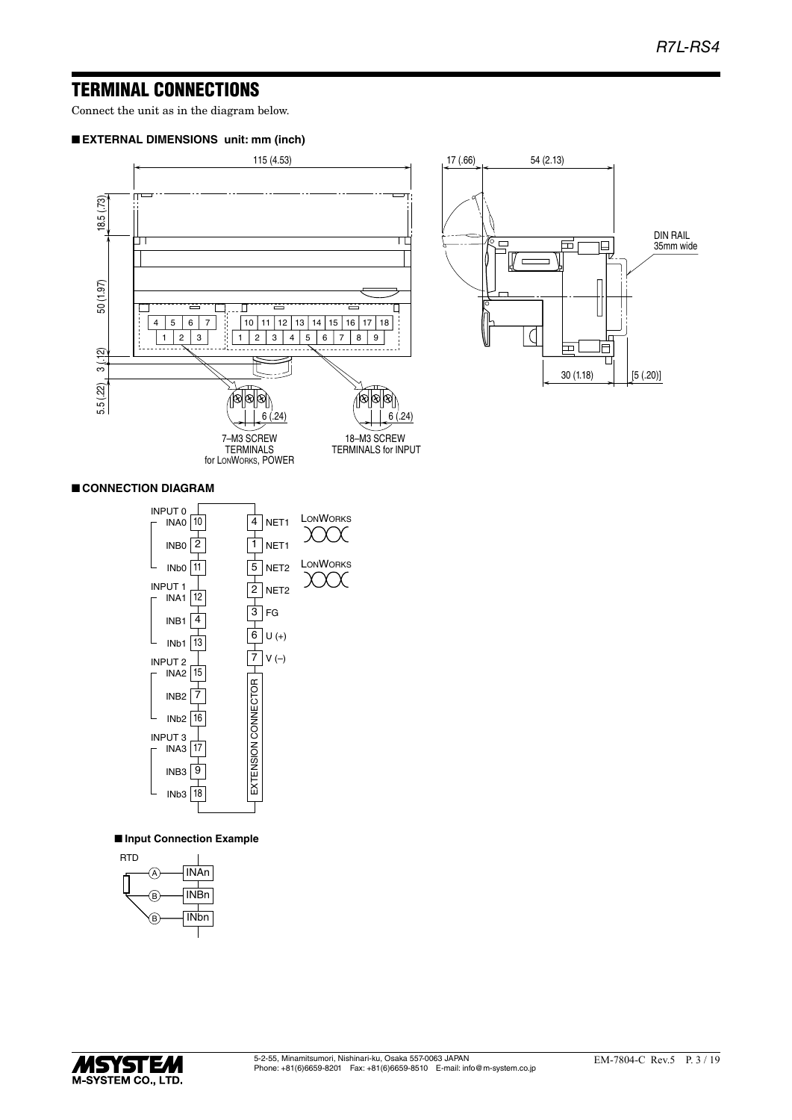## TERMINAL CONNECTIONS

Connect the unit as in the diagram below.

#### ■ **EXTERNAL DIMENSIONS unit: mm (inch)**



## ■ **CONNECTION DIAGRAM**



## ■ **Input Connection Example**



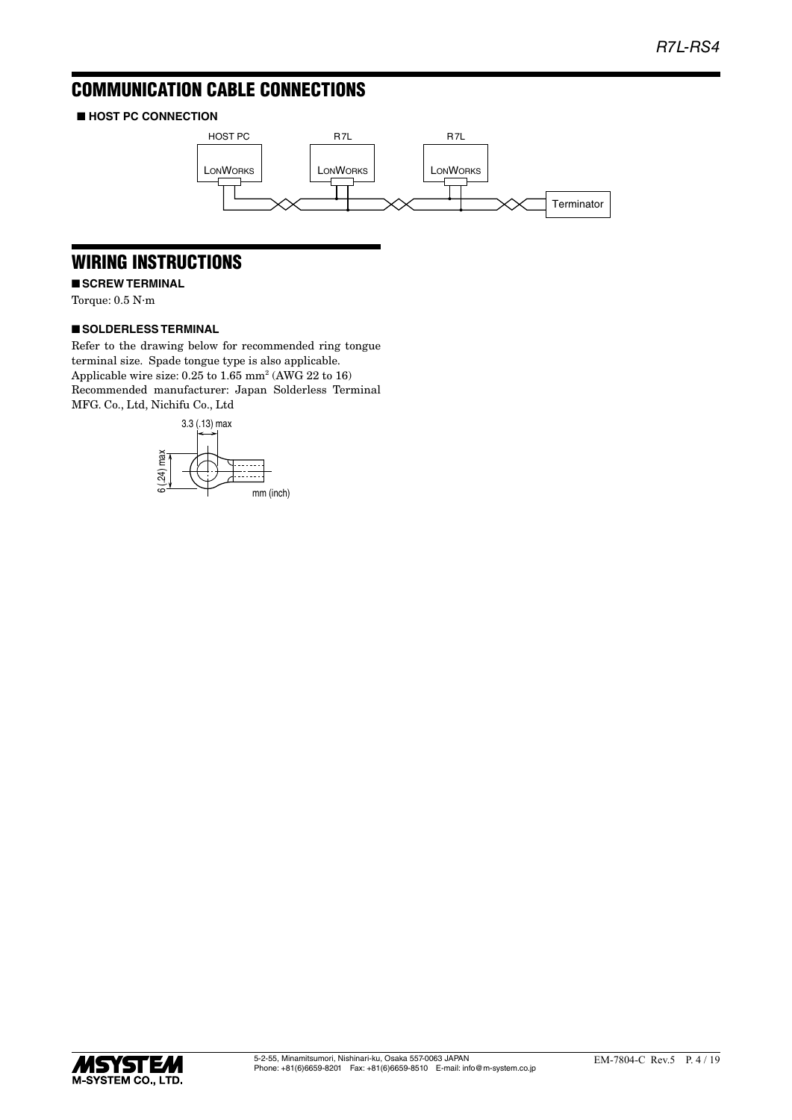## COMMUNICATION CABLE CONNECTIONS

## ■ **HOST PC CONNECTION**



## WIRING INSTRUCTIONS

■ **SCREW TERMINAL** 

Torque: 0.5 N·m

## ■ **SOLDERLESS TERMINAL**

Refer to the drawing below for recommended ring tongue terminal size. Spade tongue type is also applicable. Applicable wire size: 0.25 to 1.65 mm<sup>2</sup> (AWG 22 to 16) Recommended manufacturer: Japan Solderless Terminal MFG. Co., Ltd, Nichifu Co., Ltd



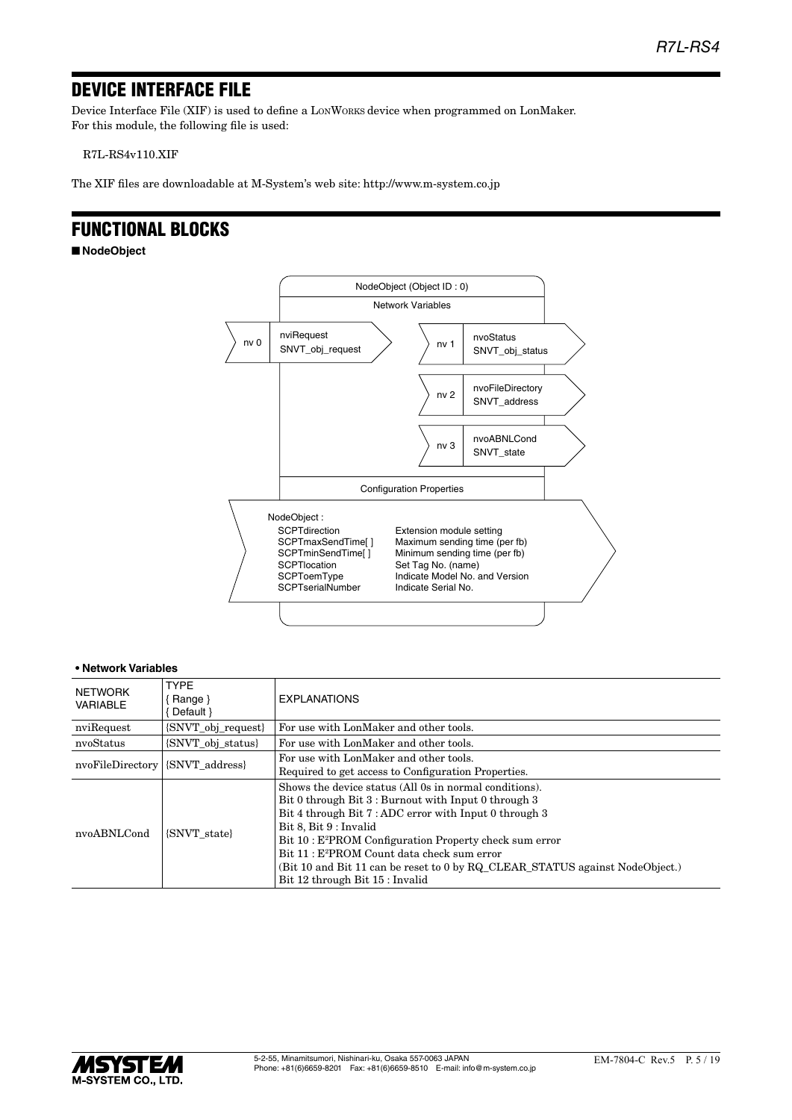## DEVICE INTERFACE FILE

Device Interface File (XIF) is used to define a LONWORKS device when programmed on LonMaker. For this module, the following file is used:

R7L-RS4v110.XIF

The XIF files are downloadable at M-System's web site: http://www.m-system.co.jp

## FUNCTIONAL BLOCKS

■ **NodeObject**



| <b>NETWORK</b><br><b>VARIABLE</b> | <b>TYPF</b><br>Range }<br>Default }                         | <b>EXPLANATIONS</b>                                                                                                                                                                                                                                                                                                                                                                                                                                   |  |  |
|-----------------------------------|-------------------------------------------------------------|-------------------------------------------------------------------------------------------------------------------------------------------------------------------------------------------------------------------------------------------------------------------------------------------------------------------------------------------------------------------------------------------------------------------------------------------------------|--|--|
| nviRequest                        | {SNVT_obj_request}                                          | For use with LonMaker and other tools.                                                                                                                                                                                                                                                                                                                                                                                                                |  |  |
| nvoStatus                         | {SNVT obj status}<br>For use with LonMaker and other tools. |                                                                                                                                                                                                                                                                                                                                                                                                                                                       |  |  |
| nvoFileDirectory                  | {SNVT address}                                              | For use with LonMaker and other tools.<br>Required to get access to Configuration Properties.                                                                                                                                                                                                                                                                                                                                                         |  |  |
| nvoABNLCond<br><b>SNVT</b> state  |                                                             | Shows the device status (All 0s in normal conditions).<br>Bit 0 through Bit 3 : Burnout with Input 0 through 3<br>Bit 4 through Bit 7: ADC error with Input 0 through 3<br>Bit 8, Bit 9 : Invalid<br>Bit 10: E <sup>2</sup> PROM Configuration Property check sum error<br>Bit 11 : E <sup>2</sup> PROM Count data check sum error<br>(Bit 10 and Bit 11 can be reset to 0 by RQ CLEAR STATUS against NodeObject.)<br>Bit 12 through Bit 15 : Invalid |  |  |

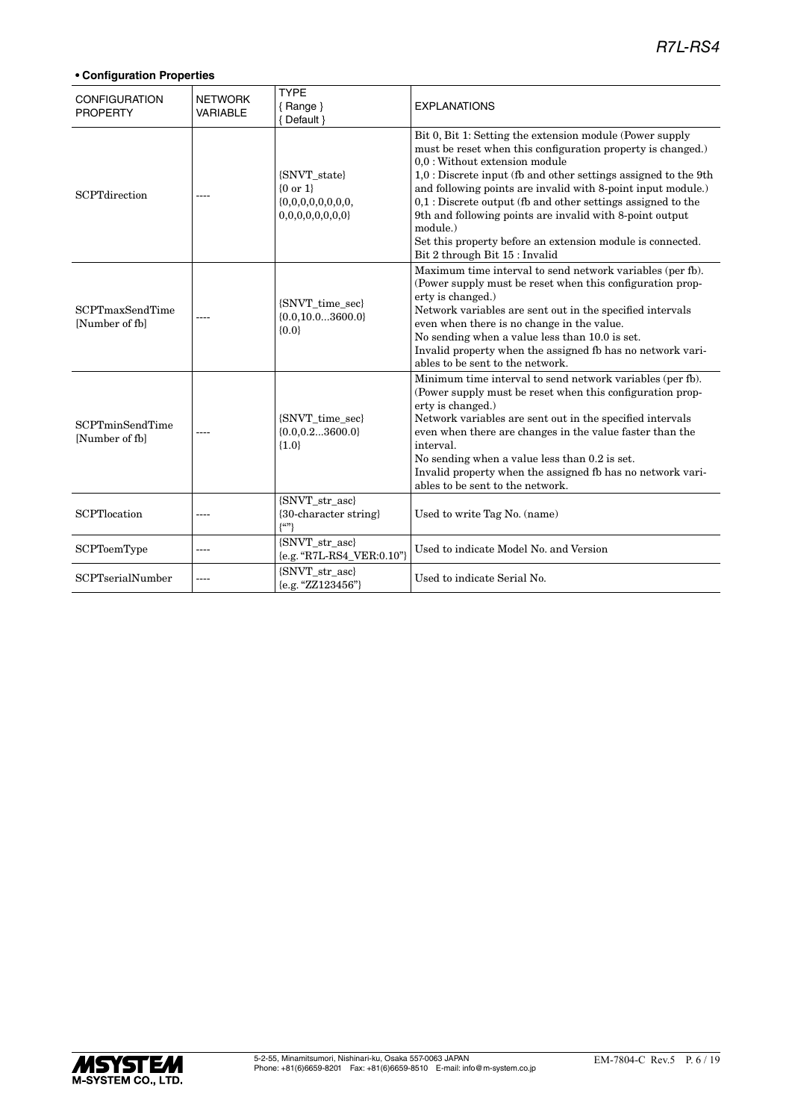| <b>CONFIGURATION</b><br><b>PROPERTY</b>  | <b>NETWORK</b><br><b>VARIABLE</b> | <b>TYPE</b><br>$\{$ Range $\}$<br>{ Default }           | <b>EXPLANATIONS</b>                                                                                                                                                                                                                                                                                                                                                                                                                                                                                                                    |
|------------------------------------------|-----------------------------------|---------------------------------------------------------|----------------------------------------------------------------------------------------------------------------------------------------------------------------------------------------------------------------------------------------------------------------------------------------------------------------------------------------------------------------------------------------------------------------------------------------------------------------------------------------------------------------------------------------|
| <b>SCPTdirection</b>                     |                                   | {SNVT_state}<br>${0 or 1}$<br>0,0,0,0,0,0,0,0           | Bit 0, Bit 1: Setting the extension module (Power supply<br>must be reset when this configuration property is changed.)<br>0,0 : Without extension module<br>1,0 : Discrete input (fb and other settings assigned to the 9th<br>and following points are invalid with 8-point input module.)<br>$0,1$ : Discrete output (fb and other settings assigned to the<br>9th and following points are invalid with 8-point output<br>module.)<br>Set this property before an extension module is connected.<br>Bit 2 through Bit 15 : Invalid |
| <b>SCPTmaxSendTime</b><br>[Number of fb] |                                   | {SNVT_time_sec}<br>${0.0, 10.03600.0}$<br>${0.0}$       | Maximum time interval to send network variables (per fb).<br>(Power supply must be reset when this configuration prop-<br>erty is changed.)<br>Network variables are sent out in the specified intervals<br>even when there is no change in the value.<br>No sending when a value less than 10.0 is set.<br>Invalid property when the assigned fb has no network vari-<br>ables to be sent to the network.                                                                                                                             |
| <b>SCPTminSendTime</b><br>[Number of fb] |                                   | {SNVT_time_sec}<br>${0.0, 0.23600.0}$<br>${1.0}$        | Minimum time interval to send network variables (per fb).<br>(Power supply must be reset when this configuration prop-<br>erty is changed.)<br>Network variables are sent out in the specified intervals<br>even when there are changes in the value faster than the<br>interval.<br>No sending when a value less than 0.2 is set.<br>Invalid property when the assigned fb has no network vari-<br>ables to be sent to the network.                                                                                                   |
| SCPTlocation                             | ----                              | {SNVT_str_asc}<br>{30-character string}<br>$\{^{(c)}\}$ | Used to write Tag No. (name)                                                                                                                                                                                                                                                                                                                                                                                                                                                                                                           |
| <b>SCPToemType</b>                       | ----                              | {SNVT_str_asc}<br>{e.g. "R7L-RS4_VER:0.10"}             | Used to indicate Model No. and Version                                                                                                                                                                                                                                                                                                                                                                                                                                                                                                 |
| <b>SCPTserialNumber</b>                  |                                   | {SNVT str asc}<br>{e.g. "ZZ123456"}                     | Used to indicate Serial No.                                                                                                                                                                                                                                                                                                                                                                                                                                                                                                            |

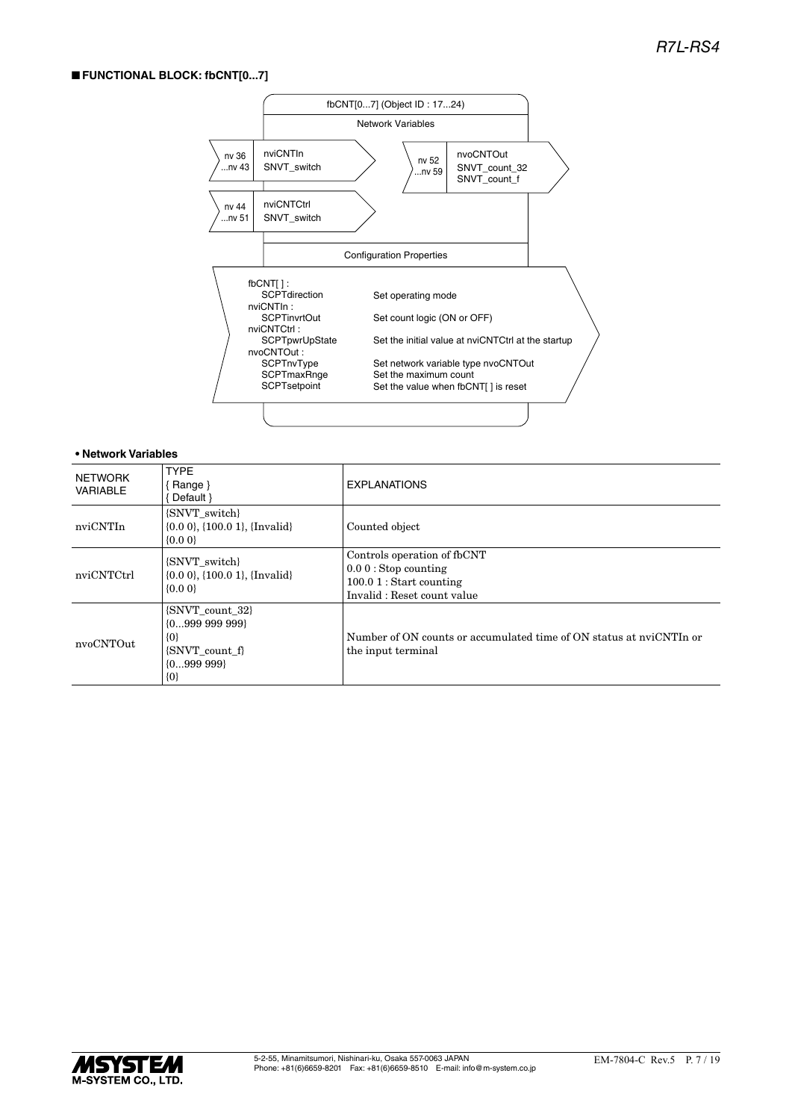## ■ **FUNCTIONAL BLOCK: fbCNT[0...7]**



| NETWORK<br>VARIABLE | <b>TYPE</b><br><b>Range</b> }<br>Default }                                                  | <b>EXPLANATIONS</b>                                                                                              |
|---------------------|---------------------------------------------------------------------------------------------|------------------------------------------------------------------------------------------------------------------|
| nviCNTIn            | {SNVT_switch}<br>$\{0.0\ 0\}$ , $\{100.0\ 1\}$ , $\{Invalid\}$<br>$\{0.0\}$                 | Counted object                                                                                                   |
| nviCNTCtrl          | {SNVT switch}<br>$\{0.0\ 0\}$ , $\{100.0\ 1\}$ , $\{Invalid\}$<br>${0.00}$                  | Controls operation of fbCNT<br>$0.00$ : Stop counting<br>$100.01$ : Start counting<br>Invalid: Reset count value |
| nvoCNTOut           | {SNVT_count_32}<br>${099999999}$<br>$\{0\}$<br>{SNVT count f}<br>$\{0999\ 999\}$<br>$\{0\}$ | Number of ON counts or accumulated time of ON status at nyiCNTIn or<br>the input terminal                        |

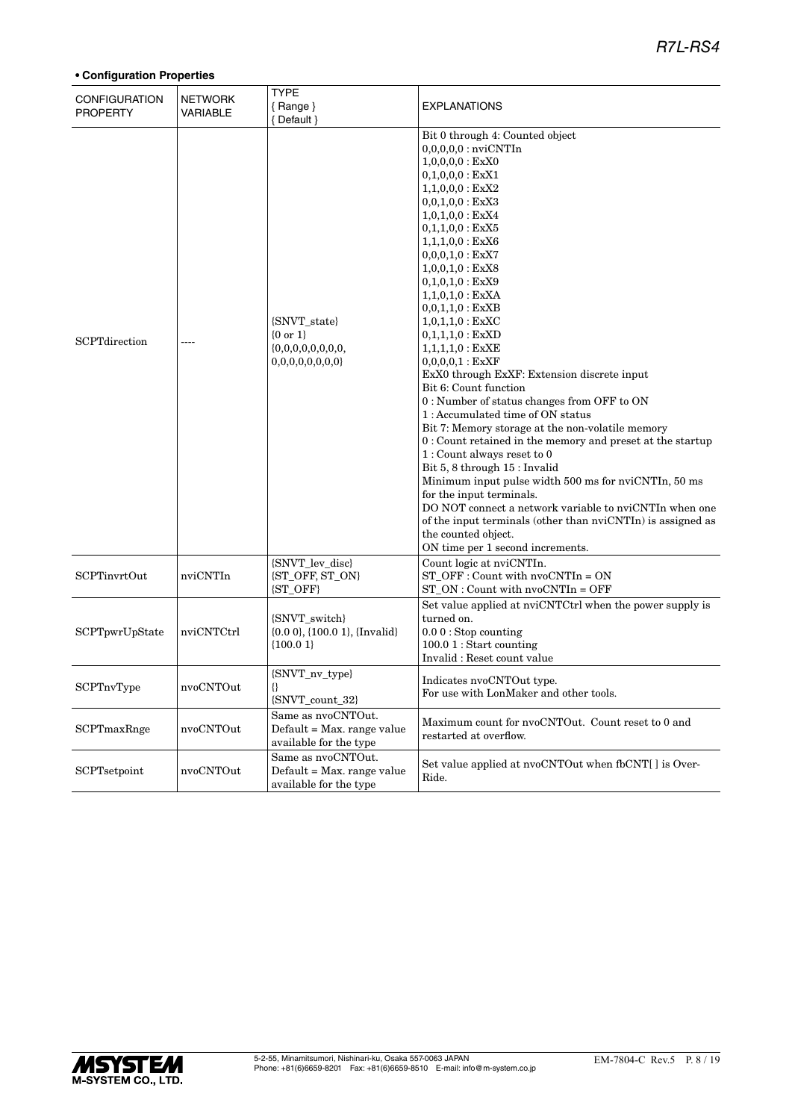| <b>CONFIGURATION</b><br><b>PROPERTY</b> | <b>NETWORK</b><br><b>VARIABLE</b> | <b>TYPE</b><br>${Range}$<br>{ Default }                                    | <b>EXPLANATIONS</b>                                                                                                                                                                                                                                                                                                                                                                                                                                                                                                                                                                                                                                                                                                                                                                                                                                                                                                                                                                                                                                            |
|-----------------------------------------|-----------------------------------|----------------------------------------------------------------------------|----------------------------------------------------------------------------------------------------------------------------------------------------------------------------------------------------------------------------------------------------------------------------------------------------------------------------------------------------------------------------------------------------------------------------------------------------------------------------------------------------------------------------------------------------------------------------------------------------------------------------------------------------------------------------------------------------------------------------------------------------------------------------------------------------------------------------------------------------------------------------------------------------------------------------------------------------------------------------------------------------------------------------------------------------------------|
| <b>SCPT</b> direction                   |                                   | {SNVT_state}<br>$\{0 \text{ or } 1\}$<br>0,0,0,0,0,0,0,0                   | Bit 0 through 4: Counted object<br>$0,0,0,0,0$ : nvi $\mathrm{CNTIn}$<br>$1,0,0,0,0$ : ExX0<br>$0,1,0,0,0$ : ExX1<br>$1,1,0,0,0$ : ExX2<br>$0,0,1,0,0$ : ExX3<br>$1,0,1,0,0$ : ExX4<br>$0,1,1,0,0$ : ExX5<br>$1,1,1,0,0$ : ExX6<br>$0,0,0,1,0:$ ExX7<br>$1,0,0,1,0$ : ExX8<br>$0,1,0,1,0$ : ExX9<br>$1,1,0,1,0$ : ExXA<br>$0,0,1,1,0:$ ExXB<br>$1,0,1,1,0:$ ExXC<br>$0,1,1,1,0:$ ExXD<br>$1,1,1,1,0:$ $\text{ExXE}$<br>0,0,0,0,1 : EXXF<br>ExX0 through ExXF: Extension discrete input<br>Bit 6: Count function<br>0 : Number of status changes from OFF to ON<br>1: Accumulated time of ON status<br>Bit 7: Memory storage at the non-volatile memory<br>0: Count retained in the memory and preset at the startup<br>$1:$ Count always reset to $0$<br>Bit 5, 8 through 15 : Invalid<br>Minimum input pulse width 500 ms for nviCNTIn, 50 ms<br>for the input terminals.<br>DO NOT connect a network variable to nviCNTIn when one<br>of the input terminals (other than nviCNTIn) is assigned as<br>the counted object.<br>ON time per 1 second increments. |
| <b>SCPTinvrtOut</b>                     | nviCNTIn                          | {SNVT_lev_disc}<br>{ST_OFF, ST_ON}<br>{ST_OFF}                             | Count logic at nviCNTIn.<br>$ST$ OFF : Count with $nvoCNTIn = ON$<br>$ST_ON:$ Count with $nvoCNTIn = OFF$                                                                                                                                                                                                                                                                                                                                                                                                                                                                                                                                                                                                                                                                                                                                                                                                                                                                                                                                                      |
| SCPTpwrUpState                          | nviCNTCtrl                        | {SNVT_switch}<br>$\{0.0\,0\},\{100.0\,1\},\{Invalid\}$<br>${100.01}$       | Set value applied at nviCNTCtrl when the power supply is<br>turned on.<br>$0.00$ : Stop counting<br>$100.01$ : Start counting<br>Invalid: Reset count value                                                                                                                                                                                                                                                                                                                                                                                                                                                                                                                                                                                                                                                                                                                                                                                                                                                                                                    |
| SCPTnvType                              | nvoCNTOut                         | <b>SNVT</b> nv type<br>₩<br>{SNVT_count_32}                                | Indicates nvoCNTOut type.<br>For use with LonMaker and other tools.                                                                                                                                                                                                                                                                                                                                                                                                                                                                                                                                                                                                                                                                                                                                                                                                                                                                                                                                                                                            |
| SCPTmaxRnge                             | nvoCNTOut                         | Same as nvoCNTOut.<br>Default = Max. range value<br>available for the type | Maximum count for nvoCNTOut. Count reset to 0 and<br>restarted at overflow.                                                                                                                                                                                                                                                                                                                                                                                                                                                                                                                                                                                                                                                                                                                                                                                                                                                                                                                                                                                    |
| SCPTsetpoint                            | nvoCNTOut                         | Same as nvoCNTOut.<br>Default = Max. range value<br>available for the type | Set value applied at nvoCNTOut when fbCNT[] is Over-<br>Ride.                                                                                                                                                                                                                                                                                                                                                                                                                                                                                                                                                                                                                                                                                                                                                                                                                                                                                                                                                                                                  |

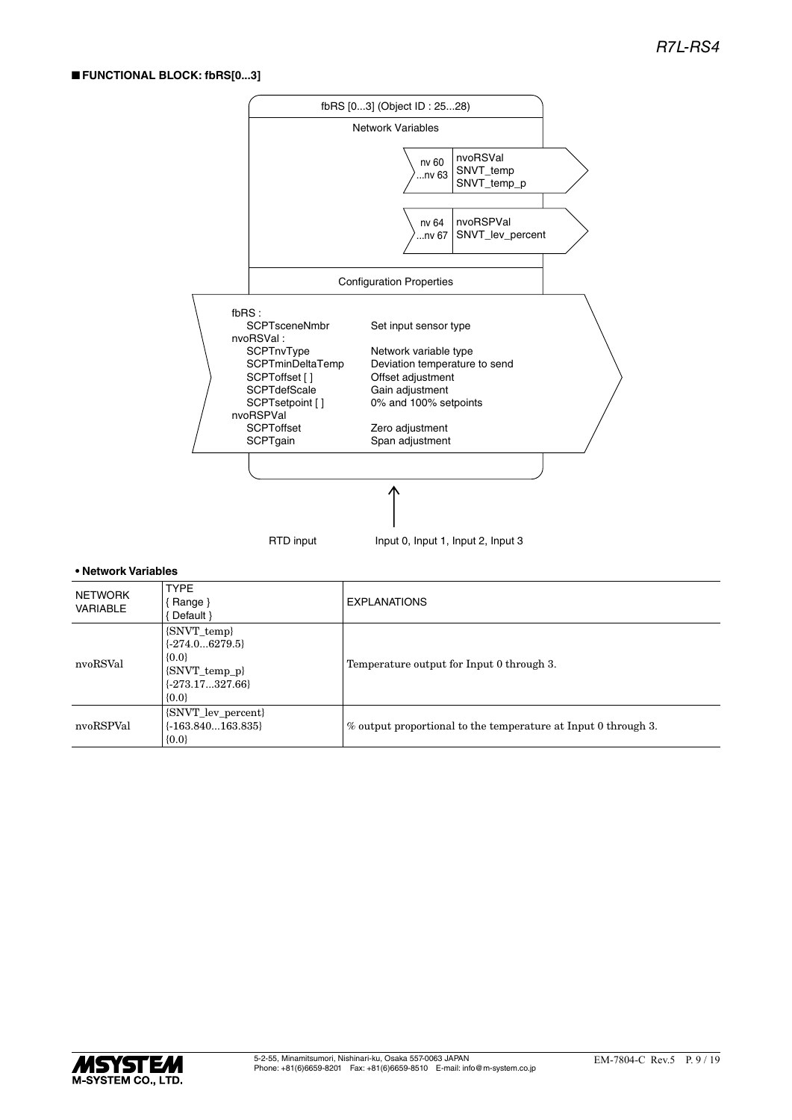## ■ **FUNCTIONAL BLOCK: fbRS[0...3]**



| NETWORK<br><b>VARIABLE</b> | <b>TYPE</b><br>$\{$ Range $\}$<br>Default }                                                     | <b>EXPLANATIONS</b>                                            |
|----------------------------|-------------------------------------------------------------------------------------------------|----------------------------------------------------------------|
| nvoRSVal                   | {SNVT_temp}<br>$\{-274.06279.5\}$<br>${0.0}$<br>{SNVT_temp_p}<br>$\{-273.17327.66\}$<br>${0.0}$ | Temperature output for Input 0 through 3.                      |
| nvoRSPVal                  | {SNVT_lev_percent}<br>$\{-163.840163.835\}$<br>${0.0}$                                          | % output proportional to the temperature at Input 0 through 3. |

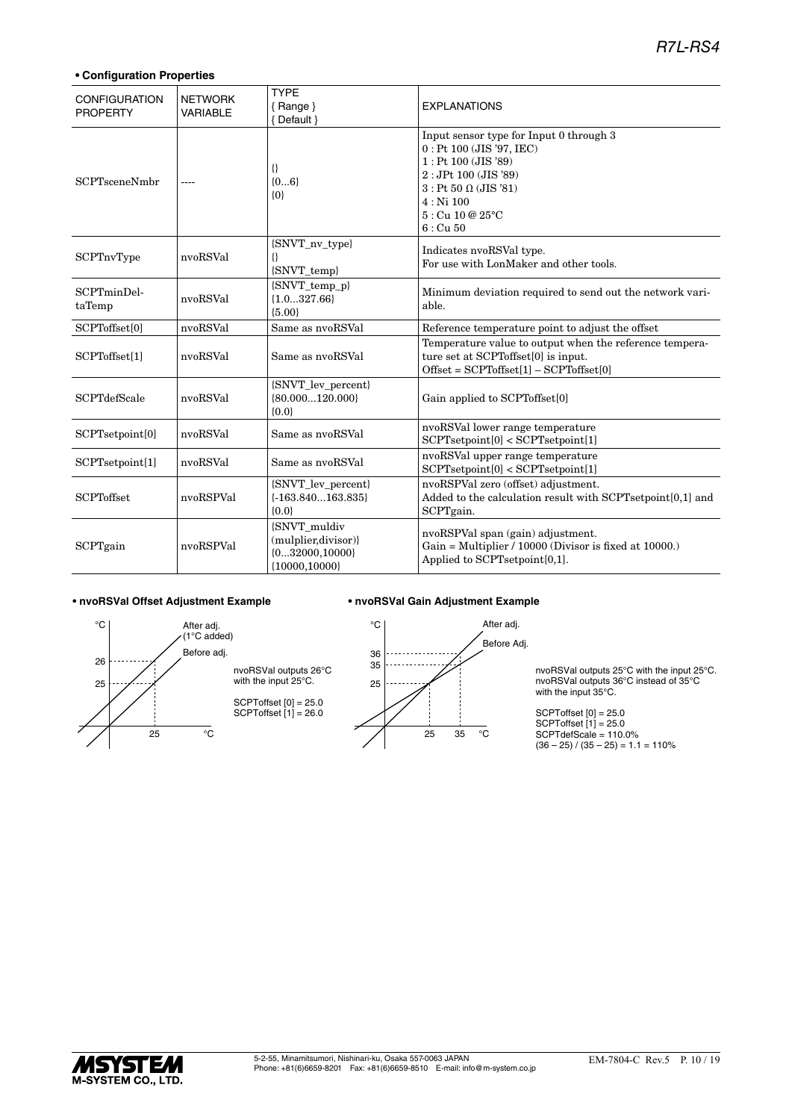## **• Configuration Properties**

| <b>CONFIGURATION</b><br><b>PROPERTY</b> | <b>NETWORK</b><br><b>VARIABLE</b> | <b>TYPE</b><br>$\{$ Range $\}$<br>{ Default }                                | <b>EXPLANATIONS</b>                                                                                                                                                                                         |
|-----------------------------------------|-----------------------------------|------------------------------------------------------------------------------|-------------------------------------------------------------------------------------------------------------------------------------------------------------------------------------------------------------|
| <b>SCPTsceneNmbr</b>                    |                                   | ₩<br>${06}$<br>$\{0\}$                                                       | Input sensor type for Input 0 through 3<br>$0:$ Pt 100 (JIS '97, IEC)<br>$1:$ Pt 100 (JIS '89)<br>$2:$ JPt 100 (JIS '89)<br>$3:$ Pt 50 $\Omega$ (JIS '81)<br>$4:$ Ni 100<br>5: Cu 10 @ 25°C<br>$6:$ Cu $50$ |
| SCPTnvType                              | nvoRSVal                          | {SNVT_nv_type}<br>{}<br>{SNVT_temp}                                          | Indicates nvoRSVal type.<br>For use with LonMaker and other tools.                                                                                                                                          |
| SCPTminDel-<br>taTemp                   | nvoRSVal                          | $\{S NVT\_temp_p\}$<br>${1.0327.66}$<br>${5.00}$                             | Minimum deviation required to send out the network vari-<br>able.                                                                                                                                           |
| SCPToffset[0]                           | nvoRSVal                          | Same as nvoRSVal                                                             | Reference temperature point to adjust the offset                                                                                                                                                            |
| SCPToffset[1]                           | nvoRSVal                          | Same as nvoRSVal                                                             | Temperature value to output when the reference tempera-<br>ture set at SCPT offset [0] is input.<br>$Offset = SCPToffset[1] - SCPToffset[0]$                                                                |
| <b>SCPTdefScale</b>                     | nvoRSVal                          | {SNVT_lev_percent}<br>${80.000120.000}$<br>${0.0}$                           | Gain applied to SCPToffset[0]                                                                                                                                                                               |
| SCPTsetpoint[0]                         | nvoRSVal                          | Same as nvoRSVal                                                             | nvoRSVal lower range temperature<br>SCPT setpoint[0] < SCPT setpoint[1]                                                                                                                                     |
| SCPTsetpoint[1]                         | nvoRSVal                          | Same as nvoRSVal                                                             | nvoRSVal upper range temperature<br>SCPT setpoint[0] < SCPT setpoint[1]                                                                                                                                     |
| <b>SCPToffset</b>                       | nvoRSPVal                         | {SNVT_lev_percent}<br>$\{-163.840163.835\}$<br>${0.0}$                       | nvoRSPVal zero (offset) adjustment.<br>Added to the calculation result with SCPTsetpoint[0,1] and<br>SCPTgain.                                                                                              |
| SCPTgain                                | nvoRSPVal                         | {SNVT_muldiv<br>(mulplier, divisor)}<br>${032000,10000}$<br>${10000, 10000}$ | nvoRSPVal span (gain) adjustment.<br>Gain = Multiplier / 10000 (Divisor is fixed at 10000.)<br>Applied to SCPTsetpoint[0,1].                                                                                |

#### **• nvoRSVal Offset Adjustment Example • nvoRSVal Gain Adjustment Example**







nvoRSVal outputs 25°C with the input 25°C. nvoRSVal outputs 36°C instead of 35°C with the input 35°C.

SCPToffset [0] = 25.0 SCPToffset [1] = 25.0 SCPTdefScale = 110.0%  $(36 - 25) / (35 - 25) = 1.1 = 110%$ 

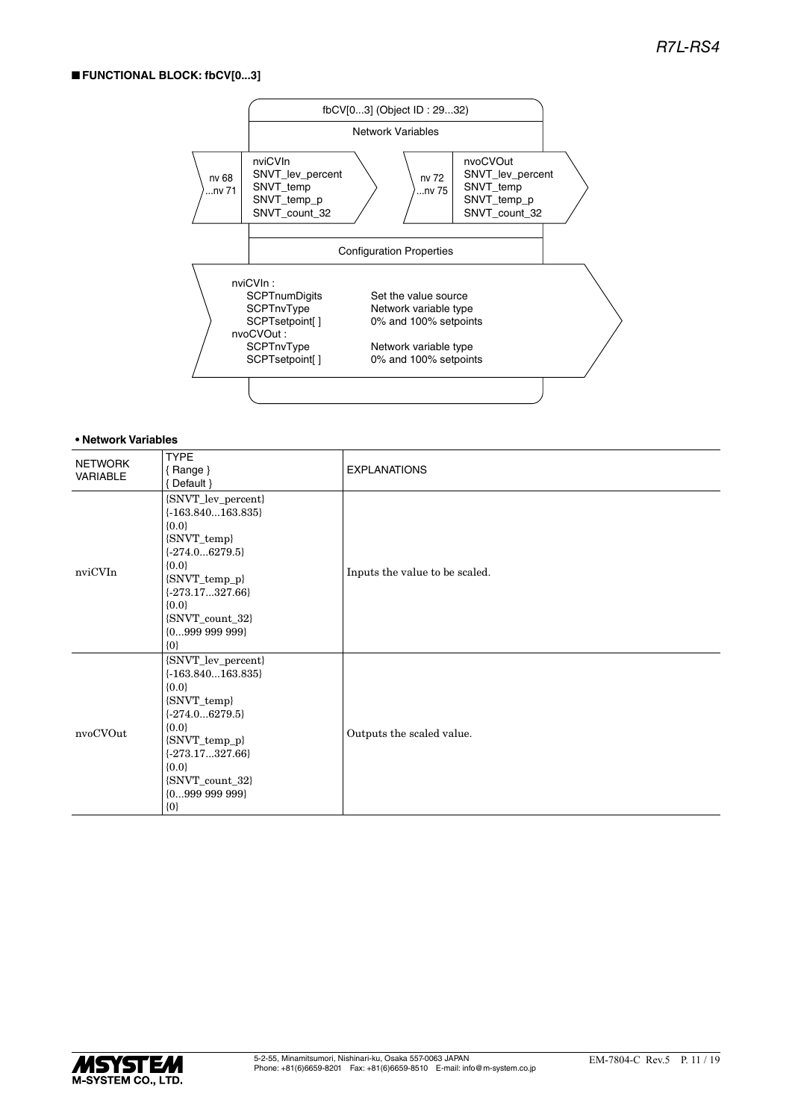## ■ **FUNCTIONAL BLOCK: fbCV[0...3]**



| <b>NETWORK</b><br>VARIABLE | <b>TYPE</b><br>${Range}$<br>{Default }                                                                                                                                                                        | <b>EXPLANATIONS</b>            |
|----------------------------|---------------------------------------------------------------------------------------------------------------------------------------------------------------------------------------------------------------|--------------------------------|
| nviCVIn                    | {SNVT_lev_percent}<br>$\{-163.840163.835\}$<br>${0.0}$<br>{SNVT_temp}<br>$\{-274.06279.5\}$<br>${0.0}$<br>{SNVT_temp_p}<br>$\{-273.17327.66\}$<br>${0.0}$<br>{SNVT_count_32}<br>${099999999}$<br>$\{0\}$      | Inputs the value to be scaled. |
| nvoCVOut                   | {SNVT_lev_percent}<br>$\{-163.840163.835\}$<br>${0.0}$<br>{SNVT_temp}<br>$\{-274.06279.5\}$<br>${0.0}$<br>$\{SNVT\_temp_p\}$<br>$\{-273.17327.66\}$<br>${0.0}$<br>{SNVT_count_32}<br>${099999999}$<br>$\{0\}$ | Outputs the scaled value.      |

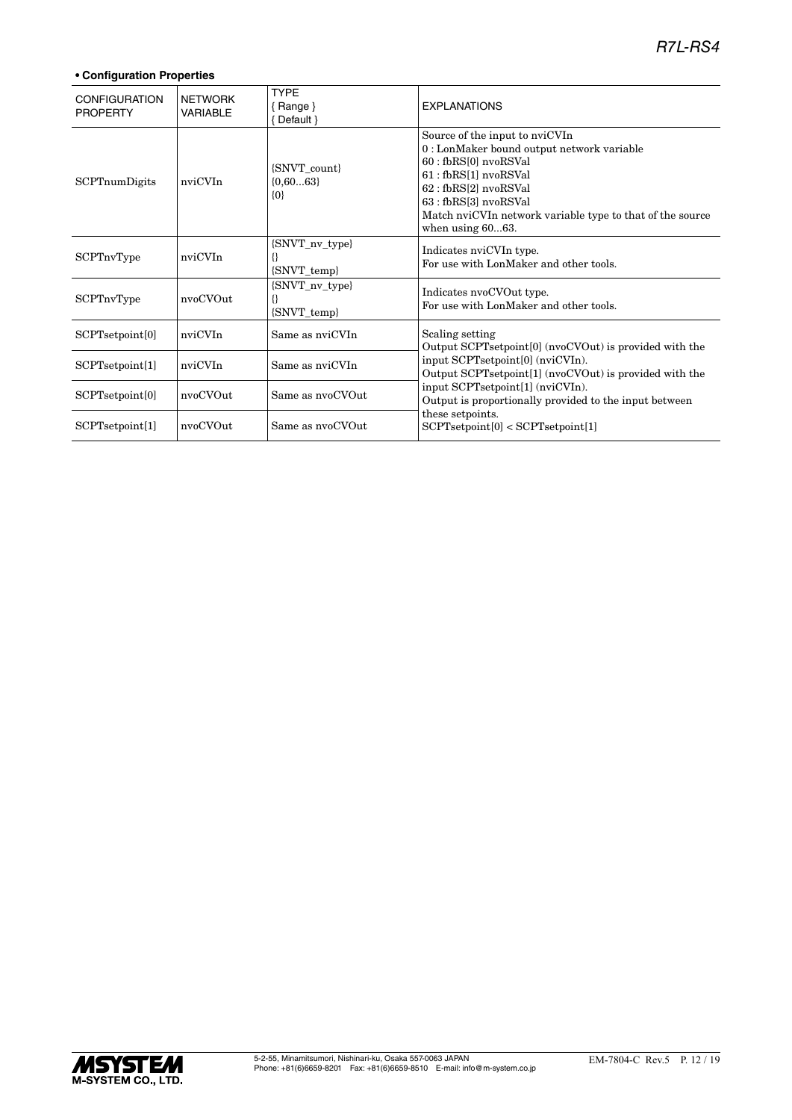| <b>CONFIGURATION</b><br><b>PROPERTY</b> | <b>NETWORK</b><br><b>VARIABLE</b> | <b>TYPE</b><br>${Range}$<br>Default } | <b>EXPLANATIONS</b>                                                                                                                                                                                                                                                  |
|-----------------------------------------|-----------------------------------|---------------------------------------|----------------------------------------------------------------------------------------------------------------------------------------------------------------------------------------------------------------------------------------------------------------------|
| SCPTnumDigits                           | nviCVIn                           | {SNVT_count}<br>${0,6063}$<br>$\{0\}$ | Source of the input to nviCVIn<br>0 : LonMaker bound output network variable<br>60 : fbRS[0] nvoRSVal<br>61 : fbRS[1] nvoRSVal<br>62 : fbRS[2] nvoRSVal<br>63 : fbRS[3] nvoRSVal<br>Match nviCVIn network variable type to that of the source<br>when using $6063$ . |
| SCPTnvType                              | nviCVIn                           | {SNVT_nv_type}<br>{}<br>{SNVT_temp}   | Indicates nviCVIn type.<br>For use with LonMaker and other tools.                                                                                                                                                                                                    |
| SCPTnvType                              | nvoCVOut                          | {SNVT_nv_type}<br>{}<br>{SNVT_temp}   | Indicates nvoCVOut type.<br>For use with LonMaker and other tools.                                                                                                                                                                                                   |
| SCPTsetpoint[0]                         | nviCVIn                           | Same as nviCVIn                       | Scaling setting<br>Output SCPTsetpoint[0] (nvoCVOut) is provided with the                                                                                                                                                                                            |
| SCPTsetpoint[1]                         | nviCVIn                           | Same as nviCVIn                       | input SCPTsetpoint[0] (nviCVIn).<br>Output SCPTsetpoint[1] (nvoCVOut) is provided with the                                                                                                                                                                           |
| SCPTsetpoint[0]                         | nvoCVOut                          | Same as nvoCVOut                      | input SCPTsetpoint[1] (nviCVIn).<br>Output is proportionally provided to the input between                                                                                                                                                                           |
| SCPTsetpoint[1]                         | nvoCVOut                          | Same as nvoCVOut                      | these setpoints.<br>SCPT setpoint[0] < SCPT setpoint[1]                                                                                                                                                                                                              |

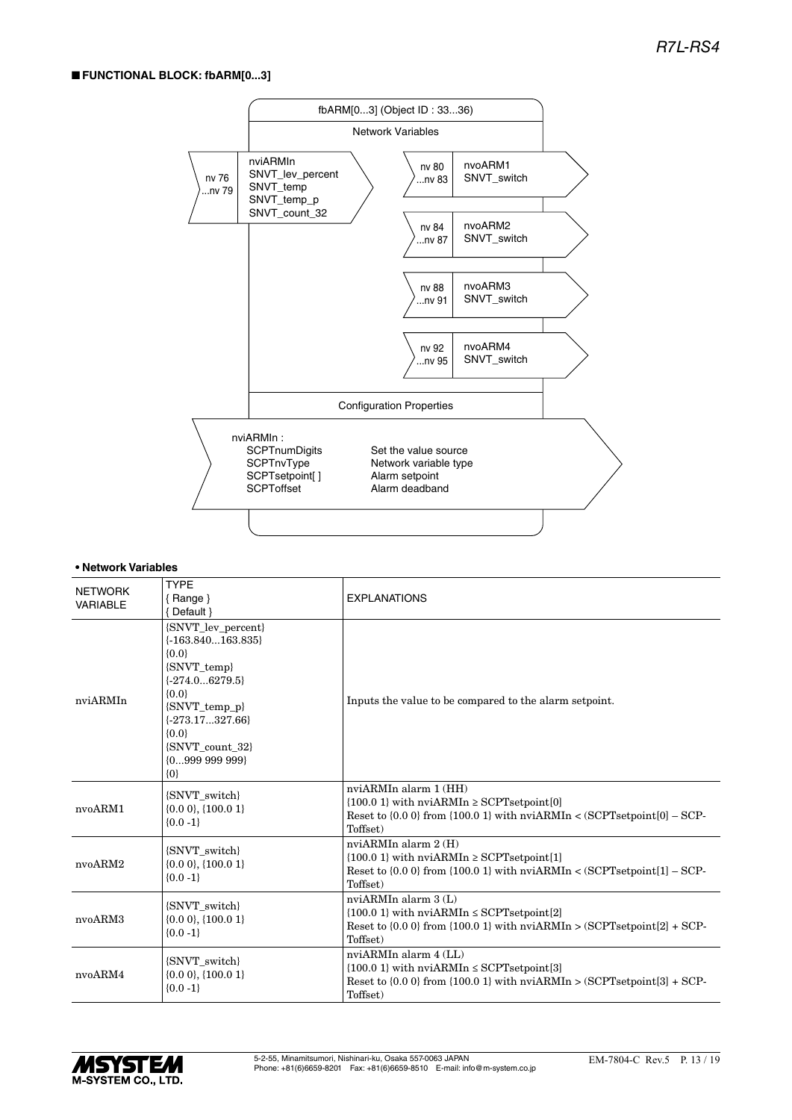## ■ **FUNCTIONAL BLOCK: fbARM[0...3]**



| <b>NETWORK</b><br><b>VARIABLE</b> | <b>TYPE</b><br>{Range}<br>{ Default }                                                                                                                                                                          | <b>EXPLANATIONS</b>                                                                                                                                                            |
|-----------------------------------|----------------------------------------------------------------------------------------------------------------------------------------------------------------------------------------------------------------|--------------------------------------------------------------------------------------------------------------------------------------------------------------------------------|
| nviARMIn                          | {SNVT_lev_percent}<br>$\{-163.840163.835\}$<br>${0.0}$<br>{SNVT_temp}<br>$\{-274.06279.5\}$<br>${0.0}$<br>$\{S NVT\_temp_p\}$<br>$\{-273.17327.66\}$<br>${0.0}$<br>{SNVT count 32}<br>${099999999}$<br>$\{0\}$ | Inputs the value to be compared to the alarm setpoint.                                                                                                                         |
| nvoARM1                           | {SNVT switch}<br>$\{0.0\ 0\},\{100.0\ 1\}$<br>${0.0 - 1}$                                                                                                                                                      | nviARMIn alarm 1 (HH)<br>${100.0 \text{ 1}}$ with nviARMIn $\ge$ SCPTsetpoint[0]<br>Reset to $\{0.0\}$ from $\{100.0\}$ with nviARMIn < (SCPTsetpoint $[0]$ – SCP-<br>Toffset) |
| nvoARM2                           | {SNVT switch}<br>$\{0.0\ 0\},\{100.0\ 1\}$<br>${0.0 -1}$                                                                                                                                                       | nviARMIn alarm 2 (H)<br>$\{100.01\}$ with nviARMIn $\geq$ SCPTsetpoint[1]<br>Reset to $\{0.0\}$ from $\{100.0\}$ with nviARMIn < (SCPTsetpoint $[1]$ – SCP-<br>Toffset)        |
| nvoARM3                           | {SNVT switch}<br>$\{0.0\ 0\},\{100.0\ 1\}$<br>${0.0 - 1}$                                                                                                                                                      | nviARMIn alarm 3 (L)<br>$\{100.01\}$ with nviARMIn $\leq$ SCPTsetpoint[2]<br>Reset to $\{0.0\}$ from $\{100.0\}$ with nviARMIn > $(SCPTsetpoint[2] + SCP$ -<br>Toffset)        |
| nvoARM4                           | {SNVT_switch}<br>$\{0.0\ 0\},\{100.0\ 1\}$<br>${0.0 -1}$                                                                                                                                                       | nviARMIn alarm 4 (LL)<br>${100.01}$ with nviARMIn $\leq$ SCPTsetpoint[3]<br>Reset to $\{0.0\}$ from $\{100.0\}$ with nviARMIn > $(SCPT set point[3] + SCP -$<br>Toffset)       |

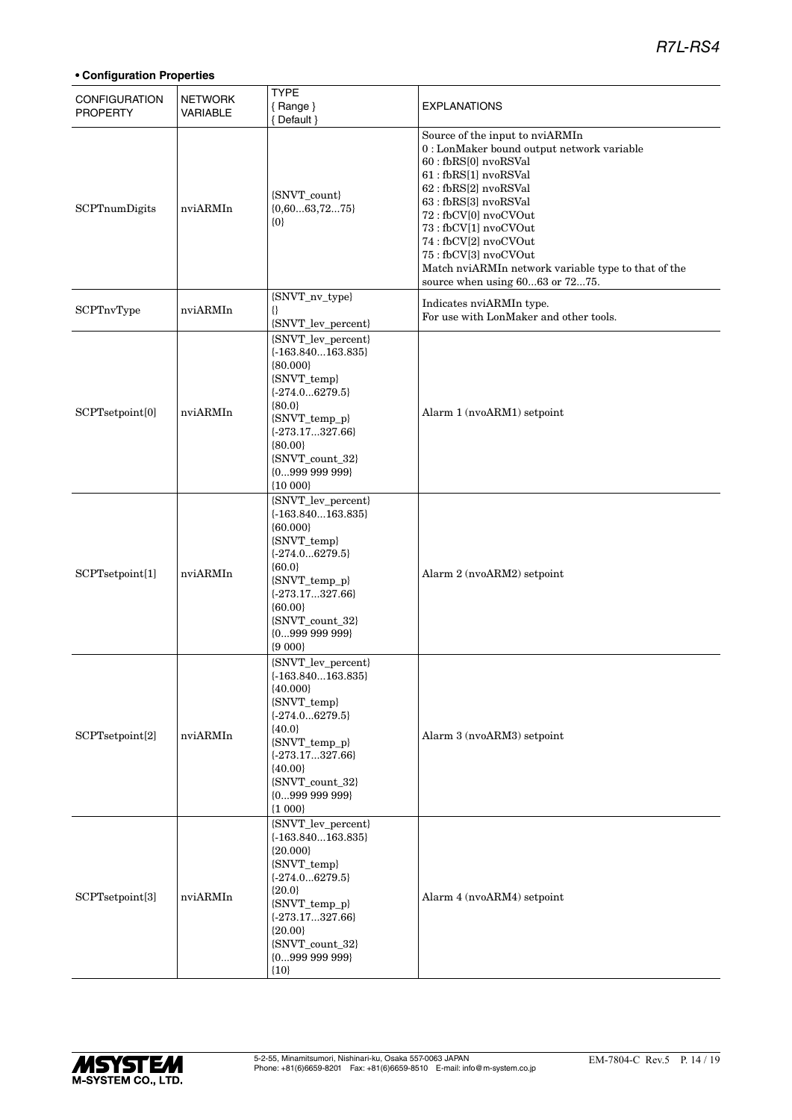| <b>CONFIGURATION</b><br><b>PROPERTY</b> | <b>NETWORK</b><br>VARIABLE | <b>TYPE</b><br>{Range}<br>{ Default }                                                                                                                                                                           | <b>EXPLANATIONS</b>                                                                                                                                                                                                                                                                                                                                                         |
|-----------------------------------------|----------------------------|-----------------------------------------------------------------------------------------------------------------------------------------------------------------------------------------------------------------|-----------------------------------------------------------------------------------------------------------------------------------------------------------------------------------------------------------------------------------------------------------------------------------------------------------------------------------------------------------------------------|
| SCPTnumDigits                           | nviARMIn                   | {SNVT_count}<br>${0,6063,7275}$<br>$\{0\}$                                                                                                                                                                      | Source of the input to nviARMIn<br>0 : LonMaker bound output network variable<br>60 : fbRS[0] nvoRSVal<br>61: fbRS[1] nvoRSVal<br>62: fbRS[2] nvoRSVal<br>63 : fbRS[3] nvoRSVal<br>72: fbCV[0] nvoCVOut<br>73 : fbCV[1] nvoCVOut<br>74 : fbCV[2] nvoCVOut<br>75: fbCV[3] nvoCVOut<br>Match nviARMIn network variable type to that of the<br>source when using 6063 or 7275. |
| SCPTnvType                              | nviARMIn                   | {SNVT_nv_type}<br>8<br>{SNVT_lev_percent}                                                                                                                                                                       | Indicates nviARMIn type.<br>For use with LonMaker and other tools.                                                                                                                                                                                                                                                                                                          |
| SCPTsetpoint[0]                         | nviARMIn                   | {SNVT_lev_percent}<br>$\{-163.840163.835\}$<br>${80.000}$<br>{SNVT_temp}<br>${-274.06279.5}$<br>${80.0}$<br>{SNVT_temp_p}<br>$\{-273.17327.66\}$<br>${80.00}$<br>{SNVT_count_32}<br>${099999999}$<br>${10000}$  | Alarm 1 (nvoARM1) setpoint                                                                                                                                                                                                                                                                                                                                                  |
| SCPTsetpoint[1]                         | nviARMIn                   | {SNVT_lev_percent}<br>$\{-163.840163.835\}$<br>${60.000}$<br>{SNVT_temp}<br>${-274.06279.5}$<br>${60.0}$<br>{SNVT_temp_p}<br>$\{-273.17327.66\}$<br>${60.00}$<br>{SNVT_count_32}<br>${099999999}$<br>${9000}$   | Alarm 2 (nvoARM2) setpoint                                                                                                                                                                                                                                                                                                                                                  |
| SCPTsetpoint[2]                         | nviARMIn                   | {SNVT_lev_percent}<br>$\{-163.840163.835\}$<br>${40.000}$<br>{SNVT_temp}<br>$\{-274.06279.5\}$<br>${40.0}$<br>{SNVT_temp_p}<br>$\{-273.17327.66\}$<br>${40.00}$<br>{SNVT_count_32}<br>${099999999}$<br>${1000}$ | Alarm 3 (nvoARM3) setpoint                                                                                                                                                                                                                                                                                                                                                  |
| SCPTsetpoint[3]                         | nviARMIn                   | {SNVT_lev_percent}<br>$\{-163.840163.835\}$<br>${20.000}$<br>{SNVT_temp}<br>${-274.06279.5}$<br>${20.0}$<br>{SNVT_temp_p}<br>$\{-273.17327.66\}$<br>${20.00}$<br>{SNVT_count_32}<br>${0999999999}$<br>${10}$    | Alarm 4 (nvoARM4) setpoint                                                                                                                                                                                                                                                                                                                                                  |

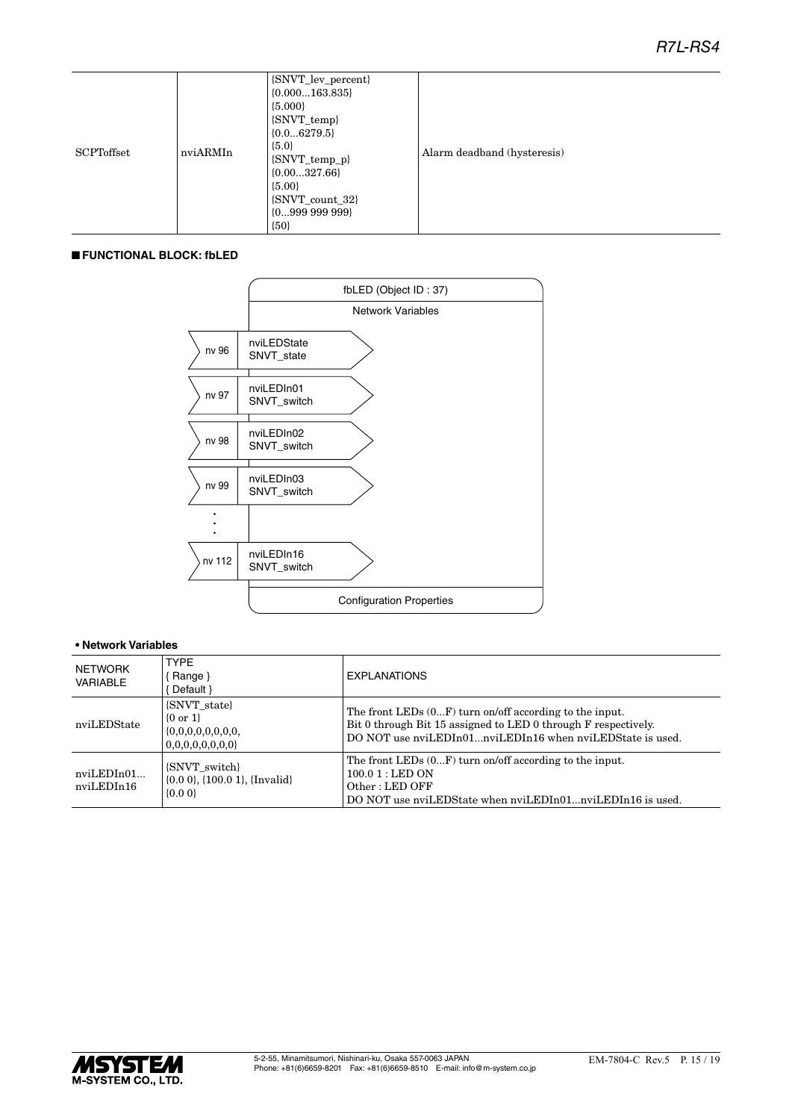| <b>SCPToffset</b> | nviARMIn | {SNVT_lev_percent}<br>$\{0.000163.835\}$<br>${5.000}$<br>{SNVT_temp}<br>${0.06279.5}$<br>${5.0}$<br>{SNVT_temp_p}<br>${0.00327.66}$<br>${5.00}$<br>$\{S\text{NVT\_count\_32}\}\$<br>$\{0999\ 999\ 999\}$<br>${50}$ | Alarm deadband (hysteresis) |
|-------------------|----------|--------------------------------------------------------------------------------------------------------------------------------------------------------------------------------------------------------------------|-----------------------------|
|-------------------|----------|--------------------------------------------------------------------------------------------------------------------------------------------------------------------------------------------------------------------|-----------------------------|

## ■ **FUNCTIONAL BLOCK: fbLED**



| NETWORK<br>VARIABLE      | <b>TYPE</b><br>[ Range }<br>Default }                                       | <b>EXPLANATIONS</b>                                                                                                                                                                      |
|--------------------------|-----------------------------------------------------------------------------|------------------------------------------------------------------------------------------------------------------------------------------------------------------------------------------|
| nviLEDState              | {SNVT_state}<br>$\{0 \text{ or } 1\}$<br>0,0,0,0,0,0,0,0                    | The front LEDs $(0F)$ turn on/off according to the input.<br>Bit 0 through Bit 15 assigned to LED 0 through F respectively.<br>DO NOT use nviLEDIn01nviLEDIn16 when nviLEDState is used. |
| nviLEDIn01<br>nviLEDIn16 | {SNVT switch}<br>$\{0.0\,0\}$ , $\{100.0\,1\}$ , $\{Invalid\}$<br>$\{0.0\}$ | The front LEDs $(0F)$ turn on/off according to the input.<br>$100.01$ : LED ON<br>Other: LED OFF<br>DO NOT use nviLEDState when nviLEDIn01nviLEDIn16 is used.                            |

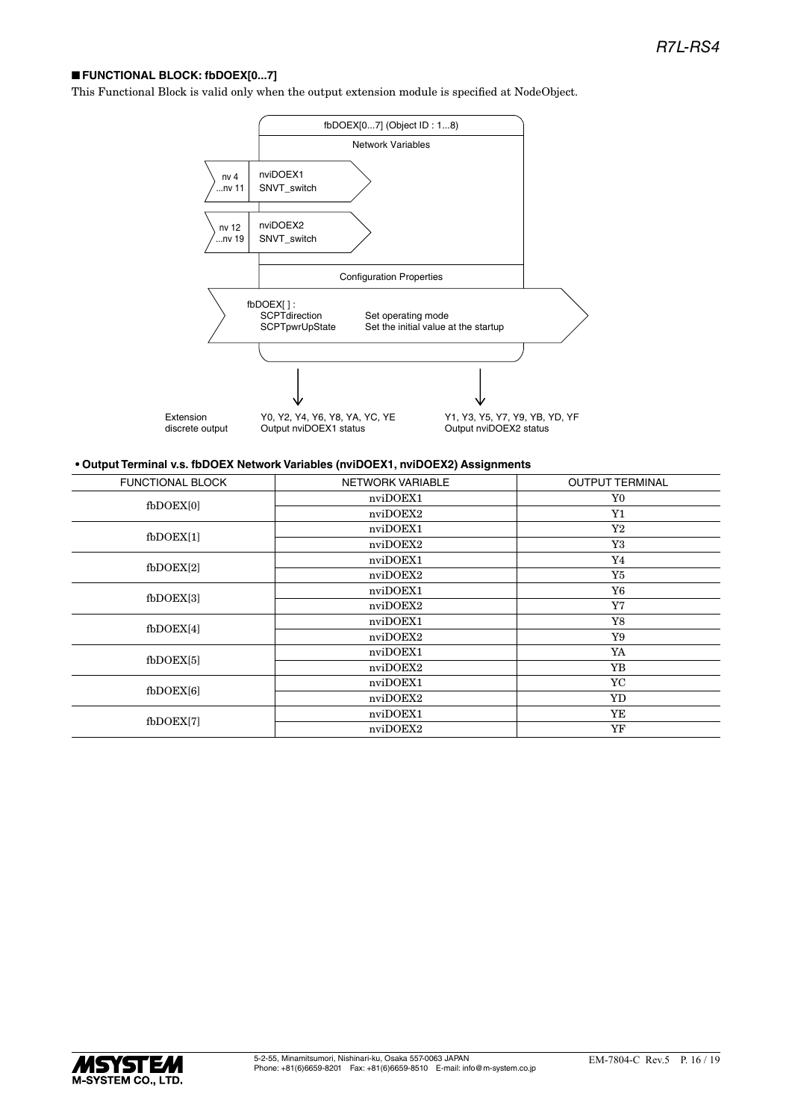## ■ **FUNCTIONAL BLOCK: fbDOEX[0...7]**

This Functional Block is valid only when the output extension module is specified at NodeObject.



## **• Output Terminal v.s. fbDOEX Network Variables (nviDOEX1, nviDOEX2) Assignments**

| <b>FUNCTIONAL BLOCK</b> | NETWORK VARIABLE | <b>OUTPUT TERMINAL</b> |  |
|-------------------------|------------------|------------------------|--|
| fbDOEX[0]               | nviDOEX1         | Y0                     |  |
|                         | nviDOEX2         | ${\rm Y1}$             |  |
| $f_{\rm bDOEX[1]}$      | nviDOEX1         | $\rm Y2$               |  |
|                         | nviDOEX2         | Y3                     |  |
| $f_{\rm bDOEX[2]}$      | nviDOEX1         | Y4                     |  |
|                         | nviDOEX2         | Y5                     |  |
| $f_{\rm bDOEX[3]}$      | nviDOEX1         | Y6                     |  |
|                         | nviDOEX2         | Y7                     |  |
| $f_{\text{bDOEX[4]}}$   | nviDOEX1         | Y8                     |  |
|                         | nviDOEX2         | Y9                     |  |
| $f_{\text{bDOEX}[5]}$   | nviDOEX1         | YA                     |  |
|                         | nviDOEX2         | YB                     |  |
| $f_{\rm bDOEX[6]}$      | nviDOEX1         | YC                     |  |
|                         | nviDOEX2         | YD                     |  |
| fbDOEX[7]               | nviDOEX1         | YE                     |  |
|                         | nviDOEX2         | YF                     |  |

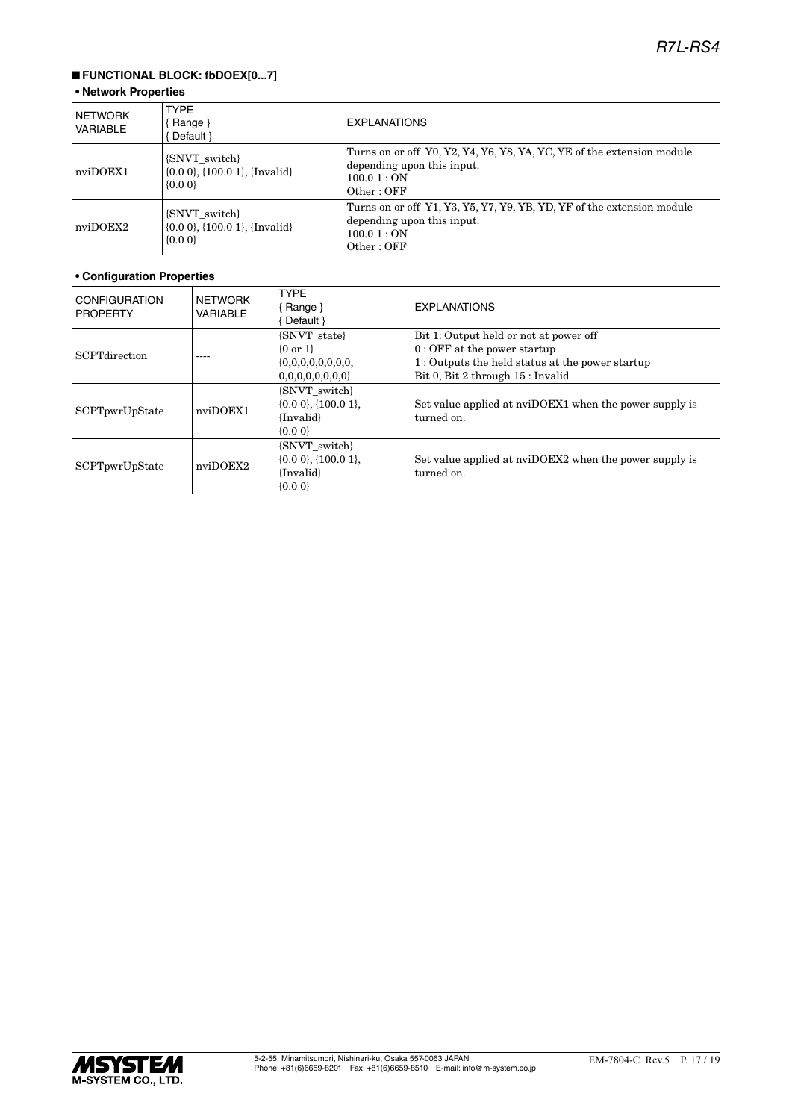## ■ **FUNCTIONAL BLOCK: fbDOEX[0...7]**

## **• Network Properties**

| NETWORK<br>VARIABLE | <b>TYPE</b><br><b>EXPLANATIONS</b><br>Range $\}$<br>Default }               |                                                                                                                                  |  |  |
|---------------------|-----------------------------------------------------------------------------|----------------------------------------------------------------------------------------------------------------------------------|--|--|
| nviDOEX1            | {SNVT_switch}<br>$\{0.0\,0\}$ , $\{100.0\,1\}$ , $\{Invalid\}$<br>$\{0.0\}$ | Turns on or off Y0, Y2, Y4, Y6, Y8, YA, YC, YE of the extension module<br>depending upon this input.<br>100.01 : ON<br>Other:OFF |  |  |
| nviDOEX2            | {SNVT switch}<br>$\{0.0\ 0\}$ , $\{100.0\ 1\}$ , $\{Invalid\}$<br>$\{0.0\}$ | Turns on or off Y1, Y3, Y5, Y7, Y9, YB, YD, YF of the extension module<br>depending upon this input.<br>100.01 : ON<br>Other:OFF |  |  |

| <b>CONFIGURATION</b><br><b>PROPERTY</b> | <b>NETWORK</b><br><b>VARIABLE</b> | <b>TYPE</b><br>$\{$ Range $\}$<br>Default }                               | <b>EXPLANATIONS</b>                                                                                                                                             |
|-----------------------------------------|-----------------------------------|---------------------------------------------------------------------------|-----------------------------------------------------------------------------------------------------------------------------------------------------------------|
| <b>SCPTdirection</b>                    | ----                              | {SNVT state}<br>$\{0 \text{ or } 1\}$<br>0,0,0,0,0,0,0,0<br>{SNVT switch} | Bit 1: Output held or not at power off<br>$0:$ OFF at the power startup<br>1: Outputs the held status at the power startup<br>Bit 0, Bit 2 through 15 : Invalid |
| SCPTpwrUpState                          | nviDOEX1                          | $\{0.0\,0\},\{100.0\,1\}.$<br>{Invalid}<br>$\{0.0\}$                      | Set value applied at nviDOEX1 when the power supply is<br>turned on.                                                                                            |
| SCPTpwrUpState                          | nviDOEX2                          | {SNVT switch}<br>$\{0.0\,0\},\{100.0\,1\}.$<br>{Invalid}<br>$\{0.0\}$     | Set value applied at nviDOEX2 when the power supply is<br>turned on.                                                                                            |

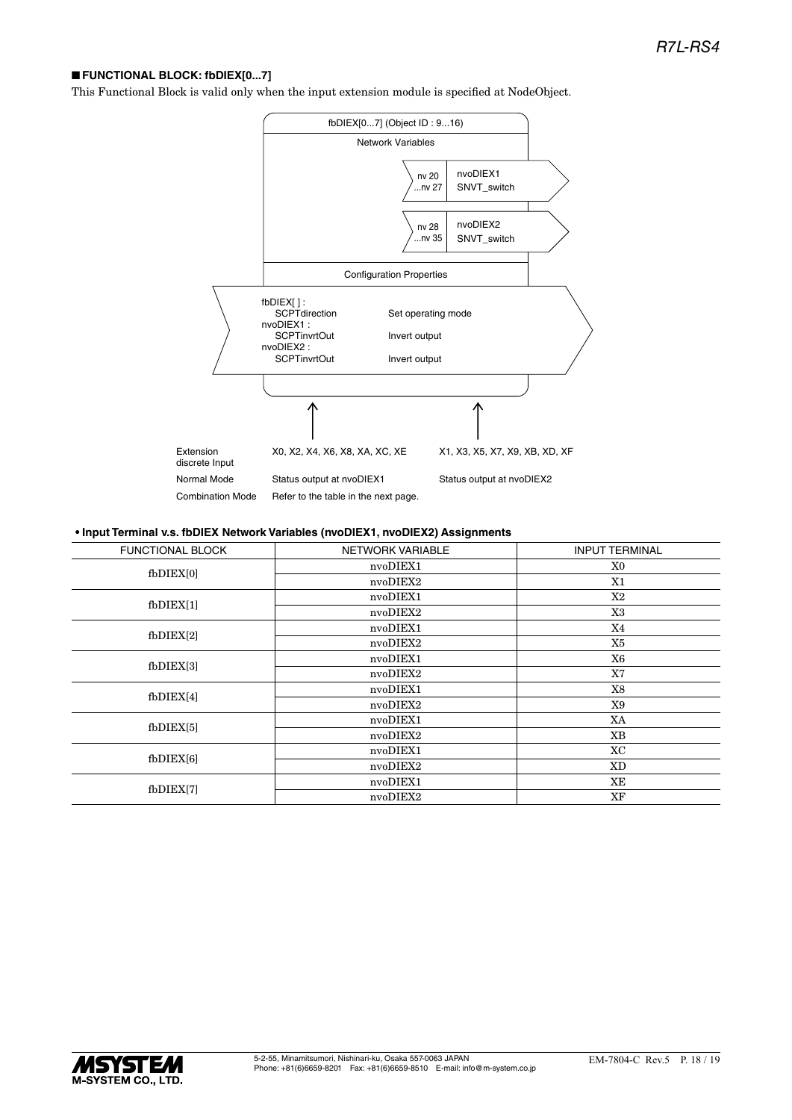## ■ **FUNCTIONAL BLOCK: fbDIEX[0...7]**

This Functional Block is valid only when the input extension module is specified at NodeObject.



#### **• Input Terminal v.s. fbDIEX Network Variables (nvoDIEX1, nvoDIEX2) Assignments**

| <b>FUNCTIONAL BLOCK</b> | <b>NETWORK VARIABLE</b> | <b>INPUT TERMINAL</b> |  |  |
|-------------------------|-------------------------|-----------------------|--|--|
| $f$ b $DIEX[0]$         | nvoDIEX1                | X0                    |  |  |
|                         | nvoDIEX2                | X1                    |  |  |
| $f$ b $DIEX[1]$         | nvoDIEX1                | X2                    |  |  |
|                         | nvoDIEX2                | X3                    |  |  |
|                         | nvoDIEX1                | X4                    |  |  |
| $f$ b $DIEX[2]$         | nvoDIEX2                | X5                    |  |  |
| $f$ b $DIEX[3]$         | nvoDIEX1                | X6                    |  |  |
|                         | nvoDIEX2                | X7                    |  |  |
| $f$ b $DIEX[4]$         | nvoDIEX1                | X8                    |  |  |
|                         | nvoDIEX2                | X9                    |  |  |
| $f_{\rm bDIEX[5]}$      | nvoDIEX1                | XA                    |  |  |
|                         | nvoDIEX2                | <b>XB</b>             |  |  |
| $f$ b $DIEX[6]$         | nvoDIEX1                | XC                    |  |  |
|                         | nvoDIEX2                | XD                    |  |  |
| fbDIEX[7]               | nvoDIEX1                | XЕ                    |  |  |
|                         | nvoDIEX2                | XF                    |  |  |
|                         |                         |                       |  |  |